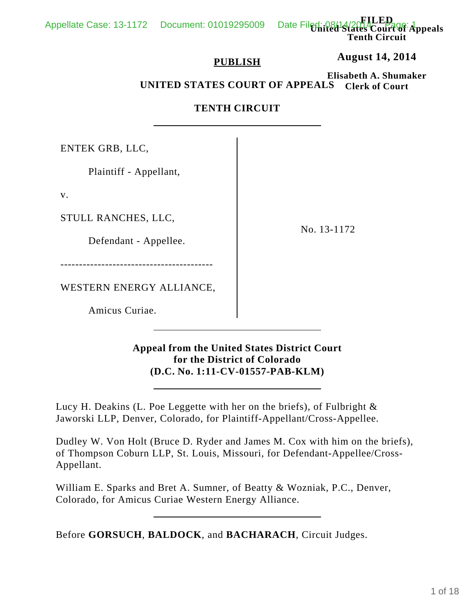**United States Court of Appeals Tenth Circuit**

**FILED**

## **PUBLISH**

**August 14, 2014**

**Elisabeth A. Shumaker Clerk of Court UNITED STATES COURT OF APPEALS**

## **TENTH CIRCUIT**

ENTEK GRB, LLC,

Plaintiff - Appellant,

v.

STULL RANCHES, LLC,

Defendant - Appellee.

-----------------------------------------

WESTERN ENERGY ALLIANCE,

Amicus Curiae.

No. 13-1172

**Appeal from the United States District Court for the District of Colorado (D.C. No. 1:11-CV-01557-PAB-KLM)**

Lucy H. Deakins (L. Poe Leggette with her on the briefs), of Fulbright & Jaworski LLP, Denver, Colorado, for Plaintiff-Appellant/Cross-Appellee.

Dudley W. Von Holt (Bruce D. Ryder and James M. Cox with him on the briefs), of Thompson Coburn LLP, St. Louis, Missouri, for Defendant-Appellee/Cross-Appellant.

William E. Sparks and Bret A. Sumner, of Beatty & Wozniak, P.C., Denver, Colorado, for Amicus Curiae Western Energy Alliance.

Before **GORSUCH**, **BALDOCK**, and **BACHARACH**, Circuit Judges.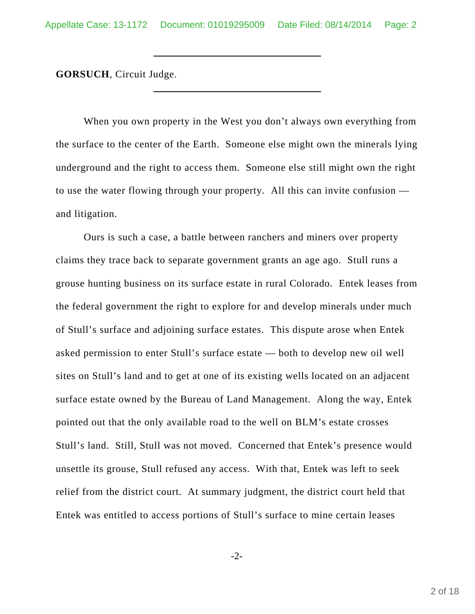**GORSUCH**, Circuit Judge.

When you own property in the West you don't always own everything from the surface to the center of the Earth. Someone else might own the minerals lying underground and the right to access them. Someone else still might own the right to use the water flowing through your property. All this can invite confusion and litigation.

Ours is such a case, a battle between ranchers and miners over property claims they trace back to separate government grants an age ago. Stull runs a grouse hunting business on its surface estate in rural Colorado. Entek leases from the federal government the right to explore for and develop minerals under much of Stull's surface and adjoining surface estates. This dispute arose when Entek asked permission to enter Stull's surface estate — both to develop new oil well sites on Stull's land and to get at one of its existing wells located on an adjacent surface estate owned by the Bureau of Land Management. Along the way, Entek pointed out that the only available road to the well on BLM's estate crosses Stull's land. Still, Stull was not moved. Concerned that Entek's presence would unsettle its grouse, Stull refused any access. With that, Entek was left to seek relief from the district court. At summary judgment, the district court held that Entek was entitled to access portions of Stull's surface to mine certain leases

-2-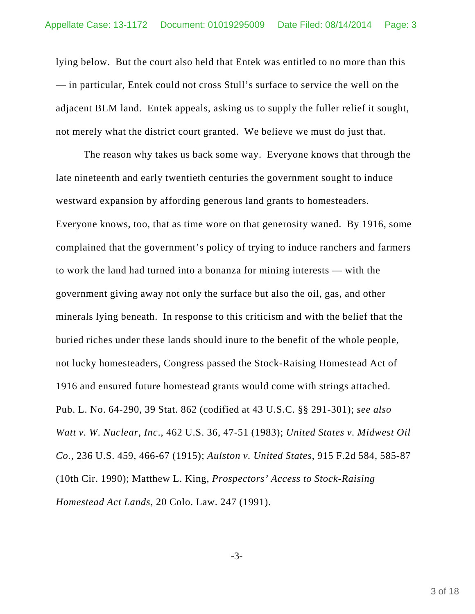lying below. But the court also held that Entek was entitled to no more than this — in particular, Entek could not cross Stull's surface to service the well on the adjacent BLM land. Entek appeals, asking us to supply the fuller relief it sought, not merely what the district court granted. We believe we must do just that.

The reason why takes us back some way. Everyone knows that through the late nineteenth and early twentieth centuries the government sought to induce westward expansion by affording generous land grants to homesteaders. Everyone knows, too, that as time wore on that generosity waned. By 1916, some complained that the government's policy of trying to induce ranchers and farmers to work the land had turned into a bonanza for mining interests — with the government giving away not only the surface but also the oil, gas, and other minerals lying beneath. In response to this criticism and with the belief that the buried riches under these lands should inure to the benefit of the whole people, not lucky homesteaders, Congress passed the Stock-Raising Homestead Act of 1916 and ensured future homestead grants would come with strings attached. Pub. L. No. 64-290, 39 Stat. 862 (codified at 43 U.S.C. §§ 291-301); *see also Watt v. W. Nuclear, Inc*., 462 U.S. 36, 47-51 (1983); *United States v. Midwest Oil Co.*, 236 U.S. 459, 466-67 (1915); *Aulston v. United States*, 915 F.2d 584, 585-87 (10th Cir. 1990); Matthew L. King, *Prospectors' Access to Stock-Raising Homestead Act Lands*, 20 Colo. Law. 247 (1991).

-3-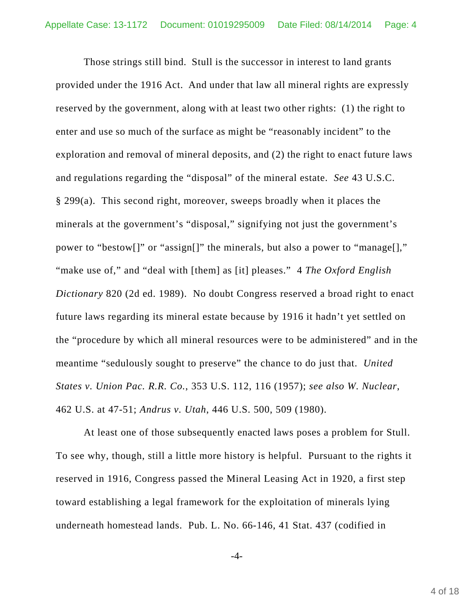Those strings still bind. Stull is the successor in interest to land grants provided under the 1916 Act. And under that law all mineral rights are expressly reserved by the government, along with at least two other rights: (1) the right to enter and use so much of the surface as might be "reasonably incident" to the exploration and removal of mineral deposits, and (2) the right to enact future laws and regulations regarding the "disposal" of the mineral estate. *See* 43 U.S.C. § 299(a). This second right, moreover, sweeps broadly when it places the minerals at the government's "disposal," signifying not just the government's power to "bestow[]" or "assign[]" the minerals, but also a power to "manage[]," "make use of," and "deal with [them] as [it] pleases." 4 *The Oxford English Dictionary* 820 (2d ed. 1989). No doubt Congress reserved a broad right to enact future laws regarding its mineral estate because by 1916 it hadn't yet settled on the "procedure by which all mineral resources were to be administered" and in the meantime "sedulously sought to preserve" the chance to do just that. *United States v. Union Pac. R.R. Co.*, 353 U.S. 112, 116 (1957); *see also W. Nuclear*, 462 U.S. at 47-51; *Andrus v. Utah*, 446 U.S. 500, 509 (1980).

At least one of those subsequently enacted laws poses a problem for Stull. To see why, though, still a little more history is helpful. Pursuant to the rights it reserved in 1916, Congress passed the Mineral Leasing Act in 1920, a first step toward establishing a legal framework for the exploitation of minerals lying underneath homestead lands. Pub. L. No. 66-146, 41 Stat. 437 (codified in

-4-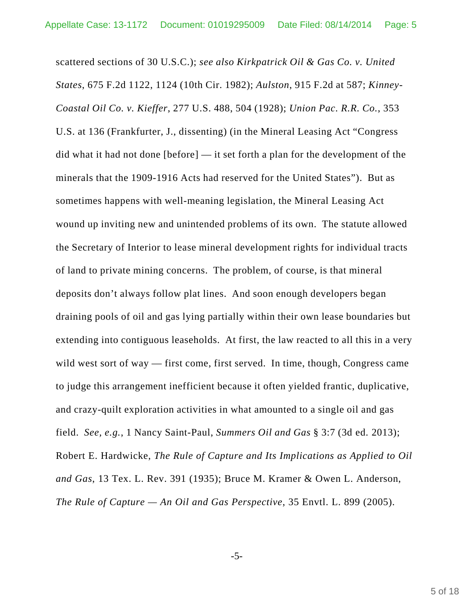scattered sections of 30 U.S.C.); *see also Kirkpatrick Oil & Gas Co. v. United States*, 675 F.2d 1122, 1124 (10th Cir. 1982); *Aulston*, 915 F.2d at 587; *Kinney-Coastal Oil Co. v. Kieffer*, 277 U.S. 488, 504 (1928); *Union Pac. R.R. Co.*, 353 U.S. at 136 (Frankfurter, J., dissenting) (in the Mineral Leasing Act "Congress did what it had not done [before] — it set forth a plan for the development of the minerals that the 1909-1916 Acts had reserved for the United States"). But as sometimes happens with well-meaning legislation, the Mineral Leasing Act wound up inviting new and unintended problems of its own. The statute allowed the Secretary of Interior to lease mineral development rights for individual tracts of land to private mining concerns. The problem, of course, is that mineral deposits don't always follow plat lines. And soon enough developers began draining pools of oil and gas lying partially within their own lease boundaries but extending into contiguous leaseholds. At first, the law reacted to all this in a very wild west sort of way — first come, first served. In time, though, Congress came to judge this arrangement inefficient because it often yielded frantic, duplicative, and crazy-quilt exploration activities in what amounted to a single oil and gas field. *See, e.g.*, 1 Nancy Saint-Paul, *Summers Oil and Gas* § 3:7 (3d ed. 2013); Robert E. Hardwicke, *The Rule of Capture and Its Implications as Applied to Oil and Gas*, 13 Tex. L. Rev. 391 (1935); Bruce M. Kramer & Owen L. Anderson, *The Rule of Capture — An Oil and Gas Perspective*, 35 Envtl. L. 899 (2005).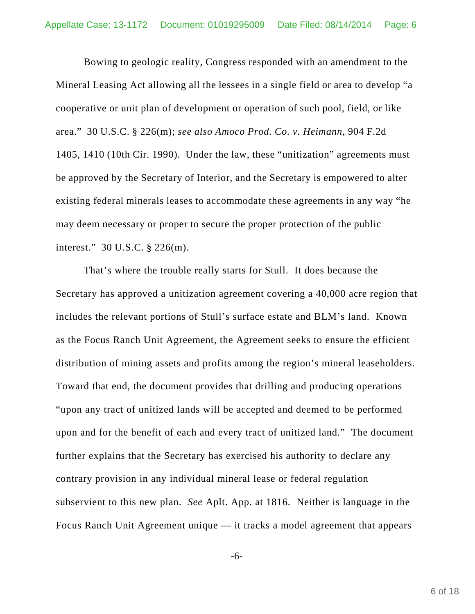Bowing to geologic reality, Congress responded with an amendment to the Mineral Leasing Act allowing all the lessees in a single field or area to develop "a cooperative or unit plan of development or operation of such pool, field, or like area." 30 U.S.C. § 226(m); *see also Amoco Prod. Co. v. Heimann*, 904 F.2d 1405, 1410 (10th Cir. 1990). Under the law, these "unitization" agreements must be approved by the Secretary of Interior, and the Secretary is empowered to alter existing federal minerals leases to accommodate these agreements in any way "he may deem necessary or proper to secure the proper protection of the public interest." 30 U.S.C. § 226(m).

That's where the trouble really starts for Stull. It does because the Secretary has approved a unitization agreement covering a 40,000 acre region that includes the relevant portions of Stull's surface estate and BLM's land. Known as the Focus Ranch Unit Agreement, the Agreement seeks to ensure the efficient distribution of mining assets and profits among the region's mineral leaseholders. Toward that end, the document provides that drilling and producing operations "upon any tract of unitized lands will be accepted and deemed to be performed upon and for the benefit of each and every tract of unitized land." The document further explains that the Secretary has exercised his authority to declare any contrary provision in any individual mineral lease or federal regulation subservient to this new plan. *See* Aplt. App. at 1816. Neither is language in the Focus Ranch Unit Agreement unique — it tracks a model agreement that appears

-6-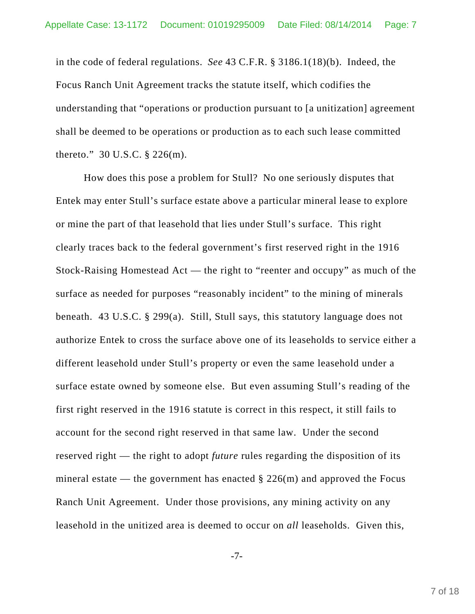in the code of federal regulations. *See* 43 C.F.R. § 3186.1(18)(b). Indeed, the Focus Ranch Unit Agreement tracks the statute itself, which codifies the understanding that "operations or production pursuant to [a unitization] agreement shall be deemed to be operations or production as to each such lease committed thereto." 30 U.S.C. § 226(m).

How does this pose a problem for Stull? No one seriously disputes that Entek may enter Stull's surface estate above a particular mineral lease to explore or mine the part of that leasehold that lies under Stull's surface. This right clearly traces back to the federal government's first reserved right in the 1916 Stock-Raising Homestead Act — the right to "reenter and occupy" as much of the surface as needed for purposes "reasonably incident" to the mining of minerals beneath. 43 U.S.C. § 299(a). Still, Stull says, this statutory language does not authorize Entek to cross the surface above one of its leaseholds to service either a different leasehold under Stull's property or even the same leasehold under a surface estate owned by someone else. But even assuming Stull's reading of the first right reserved in the 1916 statute is correct in this respect, it still fails to account for the second right reserved in that same law. Under the second reserved right — the right to adopt *future* rules regarding the disposition of its mineral estate — the government has enacted  $\S 226$ (m) and approved the Focus Ranch Unit Agreement. Under those provisions, any mining activity on any leasehold in the unitized area is deemed to occur on *all* leaseholds. Given this,

-7-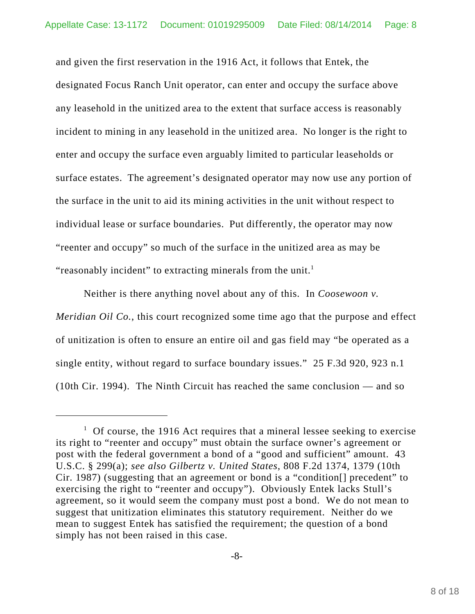and given the first reservation in the 1916 Act, it follows that Entek, the designated Focus Ranch Unit operator, can enter and occupy the surface above any leasehold in the unitized area to the extent that surface access is reasonably incident to mining in any leasehold in the unitized area. No longer is the right to enter and occupy the surface even arguably limited to particular leaseholds or surface estates. The agreement's designated operator may now use any portion of the surface in the unit to aid its mining activities in the unit without respect to individual lease or surface boundaries. Put differently, the operator may now "reenter and occupy" so much of the surface in the unitized area as may be "reasonably incident" to extracting minerals from the unit. $<sup>1</sup>$ </sup>

Neither is there anything novel about any of this. In *Coosewoon v. Meridian Oil Co.*, this court recognized some time ago that the purpose and effect of unitization is often to ensure an entire oil and gas field may "be operated as a single entity, without regard to surface boundary issues." 25 F.3d 920, 923 n.1 (10th Cir. 1994). The Ninth Circuit has reached the same conclusion — and so

<sup>&</sup>lt;sup>1</sup> Of course, the 1916 Act requires that a mineral lessee seeking to exercise its right to "reenter and occupy" must obtain the surface owner's agreement or post with the federal government a bond of a "good and sufficient" amount. 43 U.S.C. § 299(a); *see also Gilbertz v. United States*, 808 F.2d 1374, 1379 (10th Cir. 1987) (suggesting that an agreement or bond is a "condition[] precedent" to exercising the right to "reenter and occupy"). Obviously Entek lacks Stull's agreement, so it would seem the company must post a bond. We do not mean to suggest that unitization eliminates this statutory requirement. Neither do we mean to suggest Entek has satisfied the requirement; the question of a bond simply has not been raised in this case.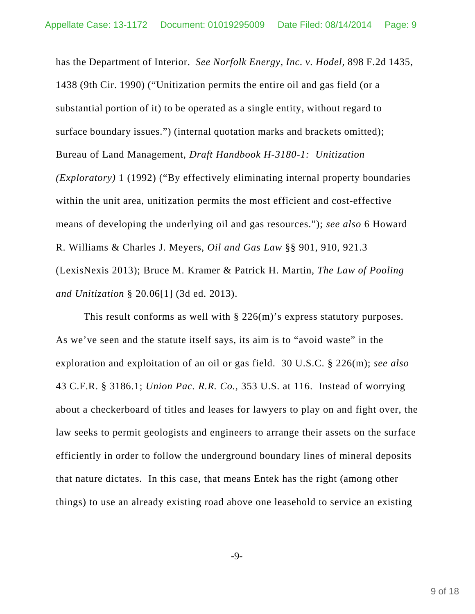has the Department of Interior. *See Norfolk Energy, Inc. v. Hodel*, 898 F.2d 1435, 1438 (9th Cir. 1990) ("Unitization permits the entire oil and gas field (or a substantial portion of it) to be operated as a single entity, without regard to surface boundary issues.") (internal quotation marks and brackets omitted); Bureau of Land Management, *Draft Handbook H-3180-1: Unitization (Exploratory)* 1 (1992) ("By effectively eliminating internal property boundaries within the unit area, unitization permits the most efficient and cost-effective means of developing the underlying oil and gas resources."); *see also* 6 Howard R. Williams & Charles J. Meyers, *Oil and Gas Law* §§ 901, 910, 921.3 (LexisNexis 2013); Bruce M. Kramer & Patrick H. Martin, *The Law of Pooling and Unitization* § 20.06[1] (3d ed. 2013).

This result conforms as well with  $\S$  226(m)'s express statutory purposes. As we've seen and the statute itself says, its aim is to "avoid waste" in the exploration and exploitation of an oil or gas field. 30 U.S.C. § 226(m); *see also* 43 C.F.R. § 3186.1; *Union Pac. R.R. Co.*, 353 U.S. at 116. Instead of worrying about a checkerboard of titles and leases for lawyers to play on and fight over, the law seeks to permit geologists and engineers to arrange their assets on the surface efficiently in order to follow the underground boundary lines of mineral deposits that nature dictates. In this case, that means Entek has the right (among other things) to use an already existing road above one leasehold to service an existing

-9-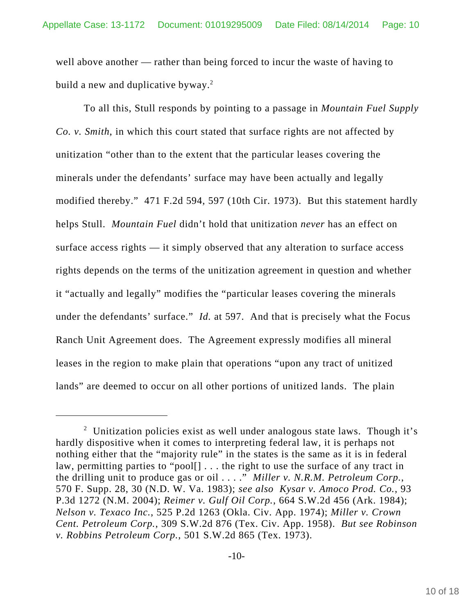well above another — rather than being forced to incur the waste of having to build a new and duplicative byway. $2$ 

To all this, Stull responds by pointing to a passage in *Mountain Fuel Supply Co. v. Smith*, in which this court stated that surface rights are not affected by unitization "other than to the extent that the particular leases covering the minerals under the defendants' surface may have been actually and legally modified thereby." 471 F.2d 594, 597 (10th Cir. 1973). But this statement hardly helps Stull. *Mountain Fuel* didn't hold that unitization *never* has an effect on surface access rights — it simply observed that any alteration to surface access rights depends on the terms of the unitization agreement in question and whether it "actually and legally" modifies the "particular leases covering the minerals under the defendants' surface." *Id.* at 597. And that is precisely what the Focus Ranch Unit Agreement does. The Agreement expressly modifies all mineral leases in the region to make plain that operations "upon any tract of unitized lands" are deemed to occur on all other portions of unitized lands. The plain

<sup>&</sup>lt;sup>2</sup> Unitization policies exist as well under analogous state laws. Though it's hardly dispositive when it comes to interpreting federal law, it is perhaps not nothing either that the "majority rule" in the states is the same as it is in federal law, permitting parties to "pool[] . . . the right to use the surface of any tract in the drilling unit to produce gas or oil . . . ." *Miller v. N.R.M. Petroleum Corp.*, 570 F. Supp. 28, 30 (N.D. W. Va. 1983); *see also Kysar v. Amoco Prod. Co.*, 93 P.3d 1272 (N.M. 2004); *Reimer v. Gulf Oil Corp.*, 664 S.W.2d 456 (Ark. 1984); *Nelson v. Texaco Inc.*, 525 P.2d 1263 (Okla. Civ. App. 1974); *Miller v. Crown Cent. Petroleum Corp.*, 309 S.W.2d 876 (Tex. Civ. App. 1958). *But see Robinson v. Robbins Petroleum Corp.*, 501 S.W.2d 865 (Tex. 1973).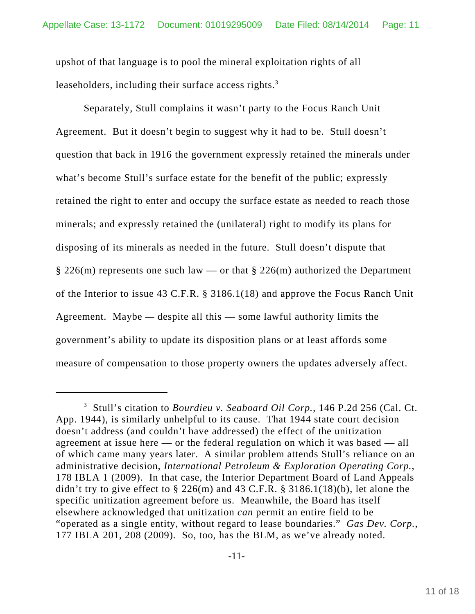upshot of that language is to pool the mineral exploitation rights of all leaseholders, including their surface access rights.<sup>3</sup>

Separately, Stull complains it wasn't party to the Focus Ranch Unit Agreement. But it doesn't begin to suggest why it had to be. Stull doesn't question that back in 1916 the government expressly retained the minerals under what's become Stull's surface estate for the benefit of the public; expressly retained the right to enter and occupy the surface estate as needed to reach those minerals; and expressly retained the (unilateral) right to modify its plans for disposing of its minerals as needed in the future. Stull doesn't dispute that  $\S 226(m)$  represents one such law — or that  $\S 226(m)$  authorized the Department of the Interior to issue 43 C.F.R. § 3186.1(18) and approve the Focus Ranch Unit Agreement. Maybe *—* despite all this — some lawful authority limits the government's ability to update its disposition plans or at least affords some measure of compensation to those property owners the updates adversely affect.

<sup>3</sup> Stull's citation to *Bourdieu v. Seaboard Oil Corp.*, 146 P.2d 256 (Cal. Ct. App. 1944), is similarly unhelpful to its cause. That 1944 state court decision doesn't address (and couldn't have addressed) the effect of the unitization agreement at issue here — or the federal regulation on which it was based — all of which came many years later. A similar problem attends Stull's reliance on an administrative decision, *International Petroleum & Exploration Operating Corp.*, 178 IBLA 1 (2009). In that case, the Interior Department Board of Land Appeals didn't try to give effect to  $\S$  226(m) and 43 C.F.R.  $\S$  3186.1(18)(b), let alone the specific unitization agreement before us. Meanwhile, the Board has itself elsewhere acknowledged that unitization *can* permit an entire field to be "operated as a single entity, without regard to lease boundaries." *Gas Dev. Corp.*, 177 IBLA 201, 208 (2009). So, too, has the BLM, as we've already noted.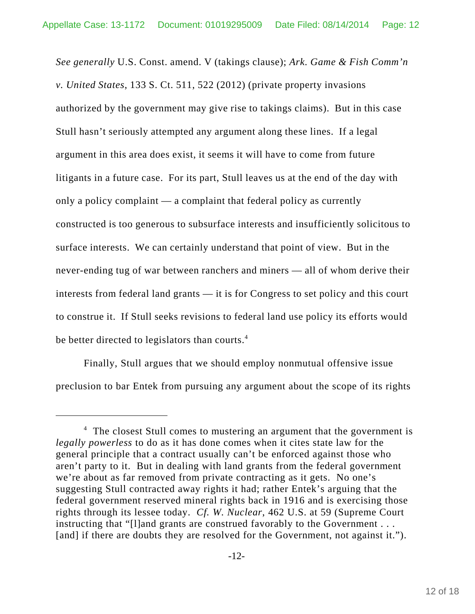*See generally* U.S. Const. amend. V (takings clause); *Ark. Game & Fish Comm'n v. United States*, 133 S. Ct. 511, 522 (2012) (private property invasions authorized by the government may give rise to takings claims). But in this case Stull hasn't seriously attempted any argument along these lines. If a legal argument in this area does exist, it seems it will have to come from future litigants in a future case. For its part, Stull leaves us at the end of the day with only a policy complaint — a complaint that federal policy as currently constructed is too generous to subsurface interests and insufficiently solicitous to surface interests. We can certainly understand that point of view. But in the never-ending tug of war between ranchers and miners — all of whom derive their interests from federal land grants — it is for Congress to set policy and this court to construe it. If Stull seeks revisions to federal land use policy its efforts would be better directed to legislators than courts.<sup>4</sup>

Finally, Stull argues that we should employ nonmutual offensive issue preclusion to bar Entek from pursuing any argument about the scope of its rights

<sup>&</sup>lt;sup>4</sup> The closest Stull comes to mustering an argument that the government is *legally powerless* to do as it has done comes when it cites state law for the general principle that a contract usually can't be enforced against those who aren't party to it. But in dealing with land grants from the federal government we're about as far removed from private contracting as it gets. No one's suggesting Stull contracted away rights it had; rather Entek's arguing that the federal government reserved mineral rights back in 1916 and is exercising those rights through its lessee today. *Cf. W. Nuclear*, 462 U.S. at 59 (Supreme Court instructing that "[l]and grants are construed favorably to the Government . . . [and] if there are doubts they are resolved for the Government, not against it.").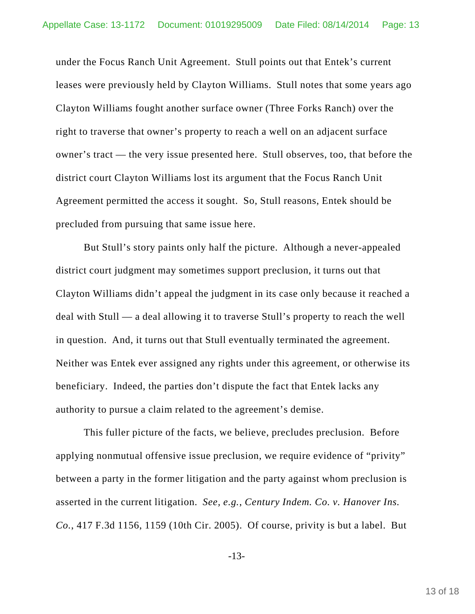under the Focus Ranch Unit Agreement. Stull points out that Entek's current leases were previously held by Clayton Williams. Stull notes that some years ago Clayton Williams fought another surface owner (Three Forks Ranch) over the right to traverse that owner's property to reach a well on an adjacent surface owner's tract — the very issue presented here. Stull observes, too, that before the district court Clayton Williams lost its argument that the Focus Ranch Unit Agreement permitted the access it sought. So, Stull reasons, Entek should be precluded from pursuing that same issue here.

But Stull's story paints only half the picture. Although a never-appealed district court judgment may sometimes support preclusion, it turns out that Clayton Williams didn't appeal the judgment in its case only because it reached a deal with Stull — a deal allowing it to traverse Stull's property to reach the well in question. And, it turns out that Stull eventually terminated the agreement. Neither was Entek ever assigned any rights under this agreement, or otherwise its beneficiary. Indeed, the parties don't dispute the fact that Entek lacks any authority to pursue a claim related to the agreement's demise.

This fuller picture of the facts, we believe, precludes preclusion. Before applying nonmutual offensive issue preclusion, we require evidence of "privity" between a party in the former litigation and the party against whom preclusion is asserted in the current litigation. *See, e.g.*, *Century Indem. Co. v. Hanover Ins. Co.*, 417 F.3d 1156, 1159 (10th Cir. 2005). Of course, privity is but a label. But

-13-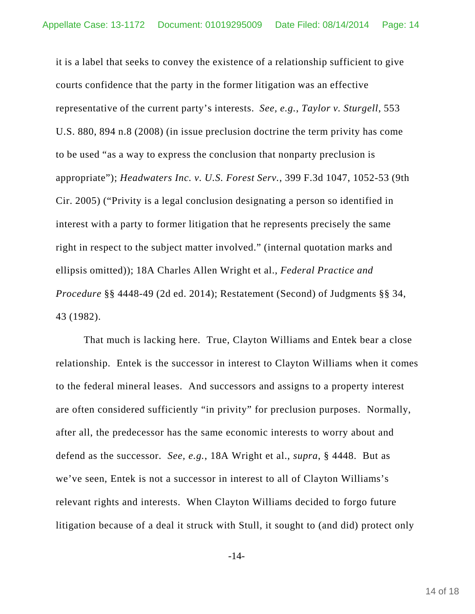it is a label that seeks to convey the existence of a relationship sufficient to give courts confidence that the party in the former litigation was an effective representative of the current party's interests. *See, e.g.*, *Taylor v. Sturgell*, 553 U.S. 880, 894 n.8 (2008) (in issue preclusion doctrine the term privity has come to be used "as a way to express the conclusion that nonparty preclusion is appropriate"); *Headwaters Inc. v. U.S. Forest Serv.*, 399 F.3d 1047, 1052-53 (9th Cir. 2005) ("Privity is a legal conclusion designating a person so identified in interest with a party to former litigation that he represents precisely the same right in respect to the subject matter involved." (internal quotation marks and ellipsis omitted)); 18A Charles Allen Wright et al., *Federal Practice and Procedure* §§ 4448-49 (2d ed. 2014); Restatement (Second) of Judgments §§ 34, 43 (1982).

That much is lacking here. True, Clayton Williams and Entek bear a close relationship. Entek is the successor in interest to Clayton Williams when it comes to the federal mineral leases. And successors and assigns to a property interest are often considered sufficiently "in privity" for preclusion purposes. Normally, after all, the predecessor has the same economic interests to worry about and defend as the successor. *See, e.g.*, 18A Wright et al., *supra*, § 4448. But as we've seen, Entek is not a successor in interest to all of Clayton Williams's relevant rights and interests. When Clayton Williams decided to forgo future litigation because of a deal it struck with Stull, it sought to (and did) protect only

-14-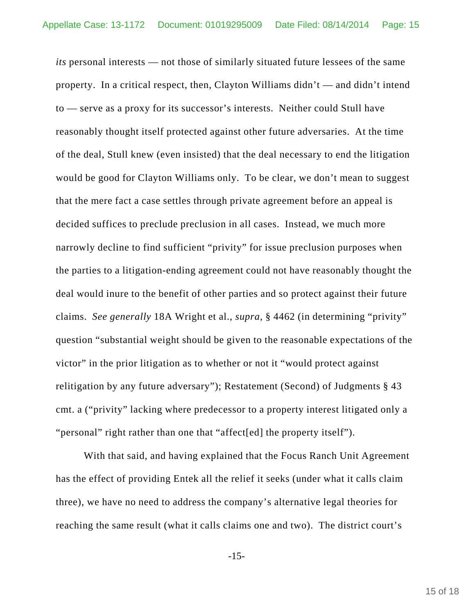*its* personal interests — not those of similarly situated future lessees of the same property. In a critical respect, then, Clayton Williams didn't — and didn't intend to — serve as a proxy for its successor's interests. Neither could Stull have reasonably thought itself protected against other future adversaries. At the time of the deal, Stull knew (even insisted) that the deal necessary to end the litigation would be good for Clayton Williams only. To be clear, we don't mean to suggest that the mere fact a case settles through private agreement before an appeal is decided suffices to preclude preclusion in all cases. Instead, we much more narrowly decline to find sufficient "privity" for issue preclusion purposes when the parties to a litigation-ending agreement could not have reasonably thought the deal would inure to the benefit of other parties and so protect against their future claims. *See generally* 18A Wright et al., *supra*, § 4462 (in determining "privity" question "substantial weight should be given to the reasonable expectations of the victor" in the prior litigation as to whether or not it "would protect against relitigation by any future adversary"); Restatement (Second) of Judgments § 43 cmt. a ("privity" lacking where predecessor to a property interest litigated only a "personal" right rather than one that "affect[ed] the property itself").

With that said, and having explained that the Focus Ranch Unit Agreement has the effect of providing Entek all the relief it seeks (under what it calls claim three), we have no need to address the company's alternative legal theories for reaching the same result (what it calls claims one and two). The district court's

-15-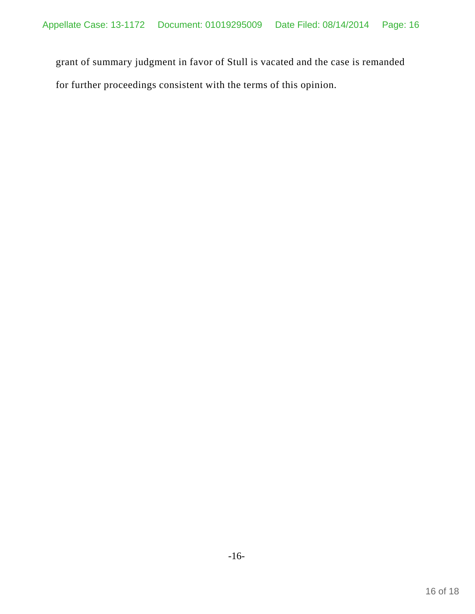grant of summary judgment in favor of Stull is vacated and the case is remanded for further proceedings consistent with the terms of this opinion.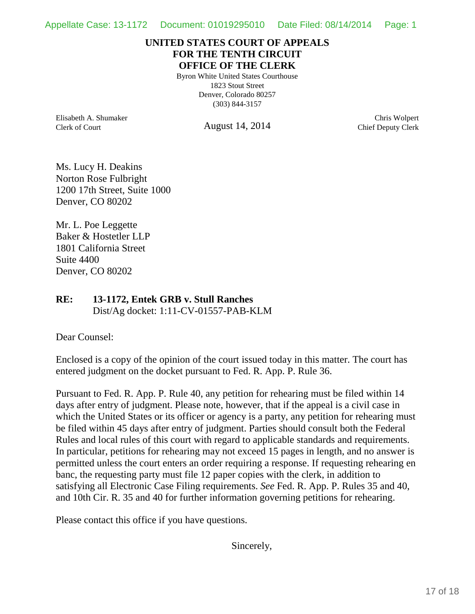## **UNITED STATES COURT OF APPEALS FOR THE TENTH CIRCUIT OFFICE OF THE CLERK**

Byron White United States Courthouse 1823 Stout Street Denver, Colorado 80257 (303) 844-3157

Elisabeth A. Shumaker Clerk of Court

August 14, 2014

Chris Wolpert Chief Deputy Clerk

Ms. Lucy H. Deakins Norton Rose Fulbright 1200 17th Street, Suite 1000 Denver, CO 80202

Mr. L. Poe Leggette Baker & Hostetler LLP 1801 California Street Suite 4400 Denver, CO 80202

## **RE: 13-1172, Entek GRB v. Stull Ranches** Dist/Ag docket: 1:11-CV-01557-PAB-KLM

Dear Counsel:

Enclosed is a copy of the opinion of the court issued today in this matter. The court has entered judgment on the docket pursuant to Fed. R. App. P. Rule 36.

Pursuant to Fed. R. App. P. Rule 40, any petition for rehearing must be filed within 14 days after entry of judgment. Please note, however, that if the appeal is a civil case in which the United States or its officer or agency is a party, any petition for rehearing must be filed within 45 days after entry of judgment. Parties should consult both the Federal Rules and local rules of this court with regard to applicable standards and requirements. In particular, petitions for rehearing may not exceed 15 pages in length, and no answer is permitted unless the court enters an order requiring a response. If requesting rehearing en banc, the requesting party must file 12 paper copies with the clerk, in addition to satisfying all Electronic Case Filing requirements. *See* Fed. R. App. P. Rules 35 and 40, and 10th Cir. R. 35 and 40 for further information governing petitions for rehearing.

Please contact this office if you have questions.

Sincerely,